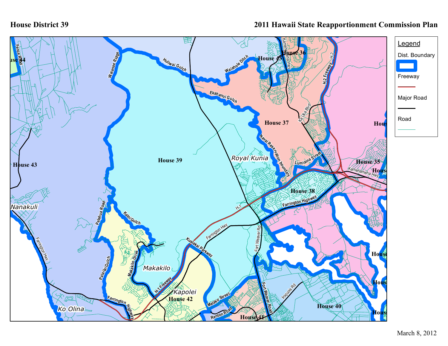## **House District 39**

## **2011 Hawaii State Reapportionment Commission Plan**

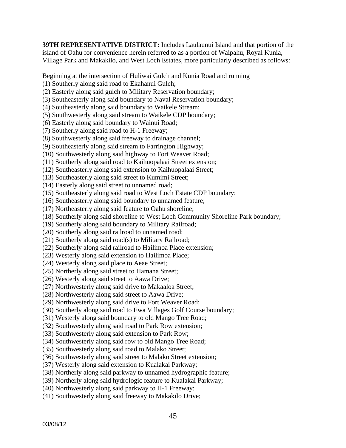**39TH REPRESENTATIVE DISTRICT:** Includes Laulaunui Island and that portion of the island of Oahu for convenience herein referred to as a portion of Waipahu, Royal Kunia, Village Park and Makakilo, and West Loch Estates, more particularly described as follows:

Beginning at the intersection of Huliwai Gulch and Kunia Road and running

(1) Southerly along said road to Ekahanui Gulch;

- (2) Easterly along said gulch to Military Reservation boundary;
- (3) Southeasterly along said boundary to Naval Reservation boundary;
- (4) Southeasterly along said boundary to Waikele Stream;
- (5) Southwesterly along said stream to Waikele CDP boundary;
- (6) Easterly along said boundary to Wainui Road;
- (7) Southerly along said road to H-1 Freeway;
- (8) Southwesterly along said freeway to drainage channel;
- (9) Southeasterly along said stream to Farrington Highway;
- (10) Southwesterly along said highway to Fort Weaver Road;
- (11) Southerly along said road to Kaihuopalaai Street extension;
- (12) Southeasterly along said extension to Kaihuopalaai Street;
- (13) Southeasterly along said street to Kumimi Street;
- (14) Easterly along said street to unnamed road;
- (15) Southeasterly along said road to West Loch Estate CDP boundary;
- (16) Southeasterly along said boundary to unnamed feature;
- (17) Northeasterly along said feature to Oahu shoreline;
- (18) Southerly along said shoreline to West Loch Community Shoreline Park boundary;
- (19) Southerly along said boundary to Military Railroad;
- (20) Southerly along said railroad to unnamed road;
- (21) Southerly along said road(s) to Military Railroad;
- (22) Southerly along said railroad to Hailimoa Place extension;
- (23) Westerly along said extension to Hailimoa Place;
- (24) Westerly along said place to Aeae Street;
- (25) Northerly along said street to Hamana Street;
- (26) Westerly along said street to Aawa Drive;
- (27) Northwesterly along said drive to Makaaloa Street;
- (28) Northwesterly along said street to Aawa Drive;
- (29) Northwesterly along said drive to Fort Weaver Road;
- (30) Southerly along said road to Ewa Villages Golf Course boundary;
- (31) Westerly along said boundary to old Mango Tree Road;
- (32) Southwesterly along said road to Park Row extension;
- (33) Southwesterly along said extension to Park Row;
- (34) Southwesterly along said row to old Mango Tree Road;
- (35) Southwesterly along said road to Malako Street;
- (36) Southwesterly along said street to Malako Street extension;
- (37) Westerly along said extension to Kualakai Parkway;
- (38) Northerly along said parkway to unnamed hydrographic feature;
- (39) Northerly along said hydrologic feature to Kualakai Parkway;
- (40) Northwesterly along said parkway to H-1 Freeway;
- (41) Southwesterly along said freeway to Makakilo Drive;